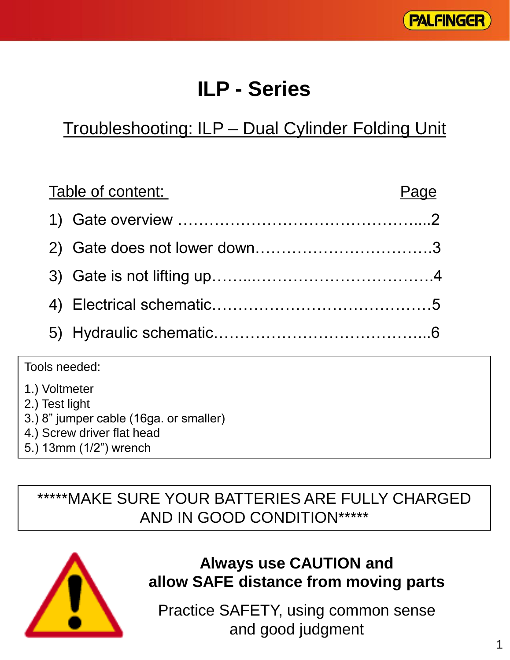

## **ILP - Series**

### Troubleshooting: ILP – Dual Cylinder Folding Unit

| Table of content: |  |
|-------------------|--|
|                   |  |
|                   |  |
|                   |  |
|                   |  |
|                   |  |
|                   |  |

#### Tools needed:

- 1.) Voltmeter
- 2.) Test light
- 3.) 8" jumper cable (16ga. or smaller)
- 4.) Screw driver flat head
- 5.) 13mm (1/2") wrench

#### \*\*\*\*\*MAKE SURE YOUR BATTERIES ARE FULLY CHARGED AND IN GOOD CONDITION\*\*\*\*\*



#### **Always use CAUTION and allow SAFE distance from moving parts**

Practice SAFETY, using common sense and good judgment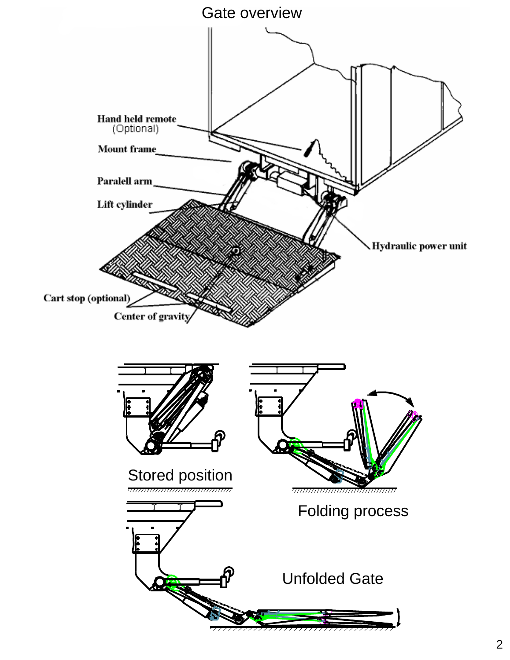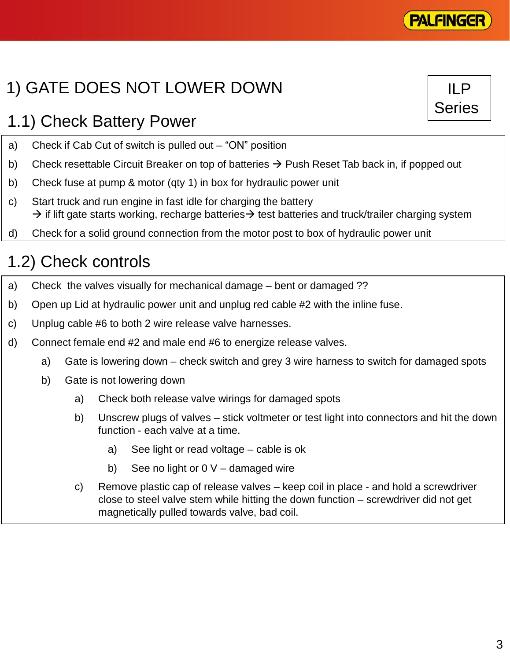# 1) GATE DOES NOT LOWER DOWN

### 1.1) Check Battery Power

- a) Check if Cab Cut of switch is pulled out "ON" position
- b) Check resettable Circuit Breaker on top of batteries  $\rightarrow$  Push Reset Tab back in, if popped out
- b) Check fuse at pump & motor (qty 1) in box for hydraulic power unit
- c) Start truck and run engine in fast idle for charging the battery  $\rightarrow$  if lift gate starts working, recharge batteries  $\rightarrow$  test batteries and truck/trailer charging system
- d) Check for a solid ground connection from the motor post to box of hydraulic power unit

### 1.2) Check controls

- a) Check the valves visually for mechanical damage bent or damaged ??
- b) Open up Lid at hydraulic power unit and unplug red cable #2 with the inline fuse.
- c) Unplug cable #6 to both 2 wire release valve harnesses.
- d) Connect female end #2 and male end #6 to energize release valves.
	- a) Gate is lowering down check switch and grey 3 wire harness to switch for damaged spots
	- b) Gate is not lowering down
		- a) Check both release valve wirings for damaged spots
		- b) Unscrew plugs of valves stick voltmeter or test light into connectors and hit the down function - each valve at a time.
			- a) See light or read voltage cable is ok
			- b) See no light or  $0 \vee -$  damaged wire
		- c) Remove plastic cap of release valves keep coil in place and hold a screwdriver close to steel valve stem while hitting the down function – screwdriver did not get magnetically pulled towards valve, bad coil.



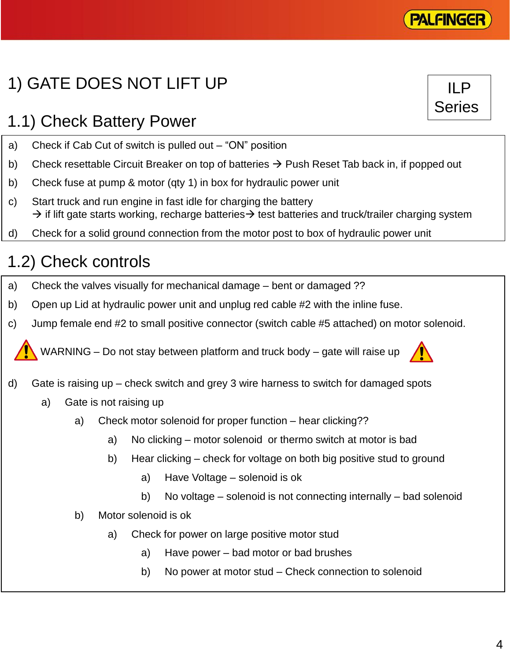# 1) GATE DOES NOT LIFT UP

# 1.1) Check Battery Power

- a) Check if Cab Cut of switch is pulled out "ON" position
- b) Check resettable Circuit Breaker on top of batteries  $\rightarrow$  Push Reset Tab back in, if popped out
- b) Check fuse at pump & motor (qty 1) in box for hydraulic power unit
- c) Start truck and run engine in fast idle for charging the battery  $\rightarrow$  if lift gate starts working, recharge batteries  $\rightarrow$  test batteries and truck/trailer charging system
- d) Check for a solid ground connection from the motor post to box of hydraulic power unit

# 1.2) Check controls

- a) Check the valves visually for mechanical damage bent or damaged ??
- b) Open up Lid at hydraulic power unit and unplug red cable #2 with the inline fuse.
- c) Jump female end #2 to small positive connector (switch cable #5 attached) on motor solenoid.

WARNING – Do not stay between platform and truck body – gate will raise up

- d) Gate is raising up check switch and grey 3 wire harness to switch for damaged spots
	- a) Gate is not raising up
		- a) Check motor solenoid for proper function hear clicking??
			- a) No clicking motor solenoid or thermo switch at motor is bad
			- b) Hear clicking check for voltage on both big positive stud to ground
				- a) Have Voltage solenoid is ok
				- b) No voltage solenoid is not connecting internally bad solenoid
		- b) Motor solenoid is ok
			- a) Check for power on large positive motor stud
				- a) Have power bad motor or bad brushes
				- b) No power at motor stud Check connection to solenoid





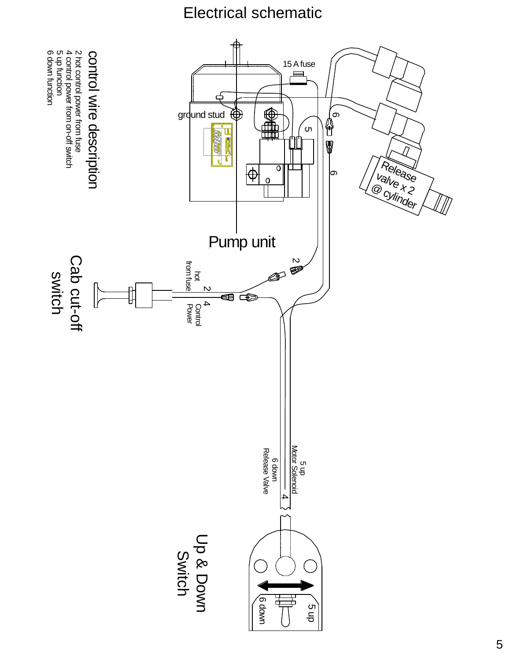#### Electrical schematic